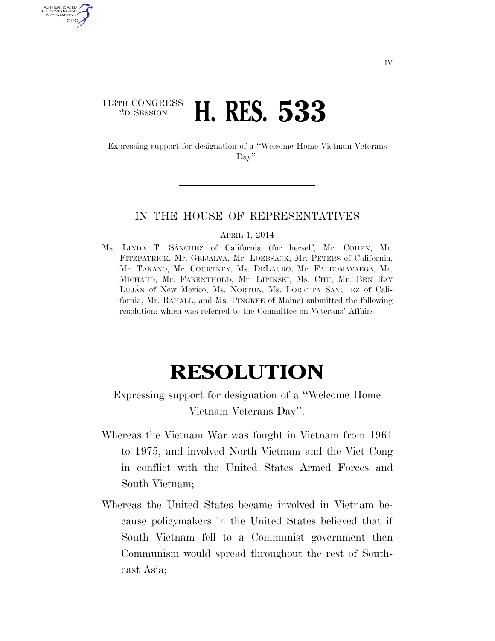## 113TH CONGRESS <sup>2D SESSION</sup> **H. RES. 533**

U.S. GOVERNMENT GPO

> Expressing support for designation of a ''Welcome Home Vietnam Veterans Day''.

## IN THE HOUSE OF REPRESENTATIVES

APRIL 1, 2014

Ms. LINDA T. SA´NCHEZ of California (for herself, Mr. COHEN, Mr. FITZPATRICK, Mr. GRIJALVA, Mr. LOEBSACK, Mr. PETERS of California, Mr. TAKANO, Mr. COURTNEY, Ms. DELAURO, Mr. FALEOMAVAEGA, Mr. MICHAUD, Mr. FARENTHOLD, Mr. LIPINSKI, Ms. CHU, Mr. BEN RAY LUJÁN of New Mexico, Ms. NORTON, Ms. LORETTA SANCHEZ of California, Mr. RAHALL, and Ms. PINGREE of Maine) submitted the following resolution; which was referred to the Committee on Veterans' Affairs

## **RESOLUTION**

Expressing support for designation of a ''Welcome Home Vietnam Veterans Day''.

- Whereas the Vietnam War was fought in Vietnam from 1961 to 1975, and involved North Vietnam and the Viet Cong in conflict with the United States Armed Forces and South Vietnam;
- Whereas the United States became involved in Vietnam because policymakers in the United States believed that if South Vietnam fell to a Communist government then Communism would spread throughout the rest of Southeast Asia;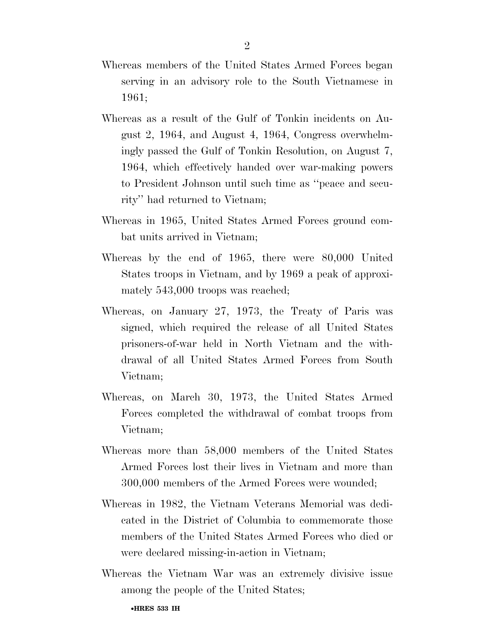- Whereas members of the United States Armed Forces began serving in an advisory role to the South Vietnamese in 1961;
- Whereas as a result of the Gulf of Tonkin incidents on August 2, 1964, and August 4, 1964, Congress overwhelmingly passed the Gulf of Tonkin Resolution, on August 7, 1964, which effectively handed over war-making powers to President Johnson until such time as ''peace and security'' had returned to Vietnam;
- Whereas in 1965, United States Armed Forces ground combat units arrived in Vietnam;
- Whereas by the end of 1965, there were 80,000 United States troops in Vietnam, and by 1969 a peak of approximately 543,000 troops was reached;
- Whereas, on January 27, 1973, the Treaty of Paris was signed, which required the release of all United States prisoners-of-war held in North Vietnam and the withdrawal of all United States Armed Forces from South Vietnam;
- Whereas, on March 30, 1973, the United States Armed Forces completed the withdrawal of combat troops from Vietnam;
- Whereas more than 58,000 members of the United States Armed Forces lost their lives in Vietnam and more than 300,000 members of the Armed Forces were wounded;
- Whereas in 1982, the Vietnam Veterans Memorial was dedicated in the District of Columbia to commemorate those members of the United States Armed Forces who died or were declared missing-in-action in Vietnam;
- Whereas the Vietnam War was an extremely divisive issue among the people of the United States;